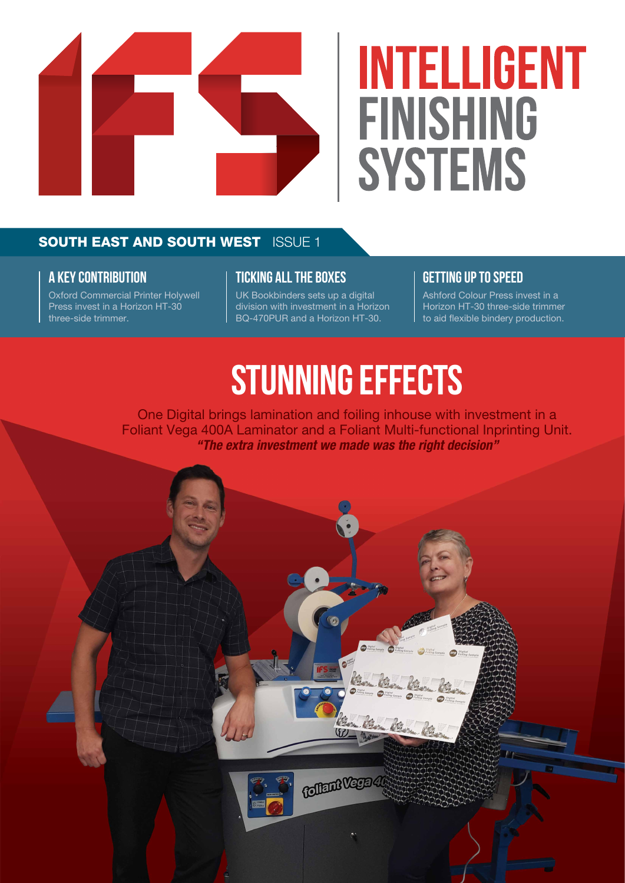

# **INTELLIGENT FINISHING SYSTEMS**

# **SOUTH EAST AND SOUTH WEST ISSUE 1**

### **A KEY CONTRIBUTION**

Oxford Commercial Printer Holywell Press invest in a Horizon HT-30 three-side trimmer.

### **TICKING ALL THE BOXES**

UK Bookbinders sets up a digital division with investment in a Horizon BQ-470PUR and a Horizon HT-30.

# **GETTING UP TO SPEED**

Ashford Colour Press invest in a Horizon HT-30 three-side trimmer to aid flexible bindery production.

# **STUNNING EFFECTS**

One Digital brings lamination and foiling inhouse with investment in a Foliant Vega 400A Laminator and a Foliant Multi-functional Inprinting Unit. *"The extra investment we made was the right decision"*

 $(57)$ 

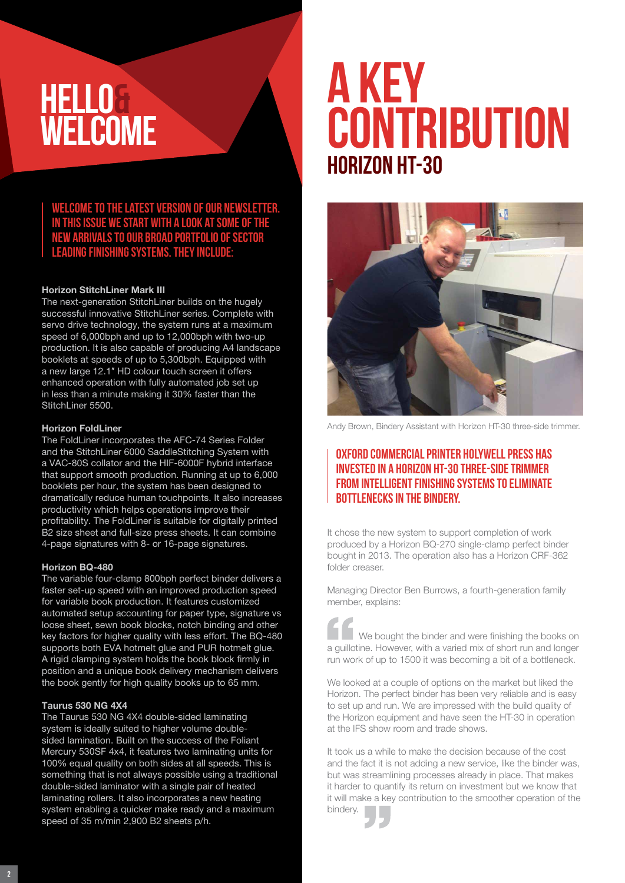# **HELLO& WELCOME**

**Welcome to the latest version of our newsletter. In this issue we start with a look at some of the new arrivals to our broad portfolio of sector leading finishing systems. They include:**

#### Horizon StitchLiner Mark III

The next-generation StitchLiner builds on the hugely successful innovative StitchLiner series. Complete with servo drive technology, the system runs at a maximum speed of 6,000bph and up to 12,000bph with two-up production. It is also capable of producing A4 landscape booklets at speeds of up to 5,300bph. Equipped with a new large 12.1″ HD colour touch screen it offers enhanced operation with fully automated job set up in less than a minute making it 30% faster than the StitchLiner 5500.

#### Horizon FoldLiner

The FoldLiner incorporates the AFC-74 Series Folder and the StitchLiner 6000 SaddleStitching System with a VAC-80S collator and the HIF-6000F hybrid interface that support smooth production. Running at up to 6,000 booklets per hour, the system has been designed to dramatically reduce human touchpoints. It also increases productivity which helps operations improve their profitability. The FoldLiner is suitable for digitally printed B2 size sheet and full-size press sheets. It can combine 4-page signatures with 8- or 16-page signatures.

#### Horizon BQ-480

The variable four-clamp 800bph perfect binder delivers a faster set-up speed with an improved production speed for variable book production. It features customized automated setup accounting for paper type, signature vs loose sheet, sewn book blocks, notch binding and other key factors for higher quality with less effort. The BQ-480 supports both EVA hotmelt glue and PUR hotmelt glue. A rigid clamping system holds the book block firmly in position and a unique book delivery mechanism delivers the book gently for high quality books up to 65 mm.

#### Taurus 530 NG 4X4

The Taurus 530 NG 4X4 double-sided laminating system is ideally suited to higher volume doublesided lamination. Built on the success of the Foliant Mercury 530SF 4x4, it features two laminating units for 100% equal quality on both sides at all speeds. This is something that is not always possible using a traditional double-sided laminator with a single pair of heated laminating rollers. It also incorporates a new heating system enabling a quicker make ready and a maximum speed of 35 m/min 2,900 B2 sheets p/h.

# **Horizon HT-30 A KEY CONTRIBUTION**



Andy Brown, Bindery Assistant with Horizon HT-30 three-side trimmer.

### Oxford Commercial Printer Holywell Press has invested in a Horizon HT-30 three-side trimmer from Intelligent Finishing Systems to eliminate bottlenecks in the bindery.

It chose the new system to support completion of work produced by a Horizon BQ-270 single-clamp perfect binder bought in 2013. The operation also has a Horizon CRF-362 folder creaser.

Managing Director Ben Burrows, a fourth-generation family member, explains:

We bought the binder and were finishing the books on a guillotine. However, with a varied mix of short run and longer run work of up to 1500 it was becoming a bit of a bottleneck.

We looked at a couple of options on the market but liked the Horizon. The perfect binder has been very reliable and is easy to set up and run. We are impressed with the build quality of the Horizon equipment and have seen the HT-30 in operation at the IFS show room and trade shows.

It took us a while to make the decision because of the cost and the fact it is not adding a new service, like the binder was, but was streamlining processes already in place. That makes it harder to quantify its return on investment but we know that it will make a key contribution to the smoother operation of the bindery.

2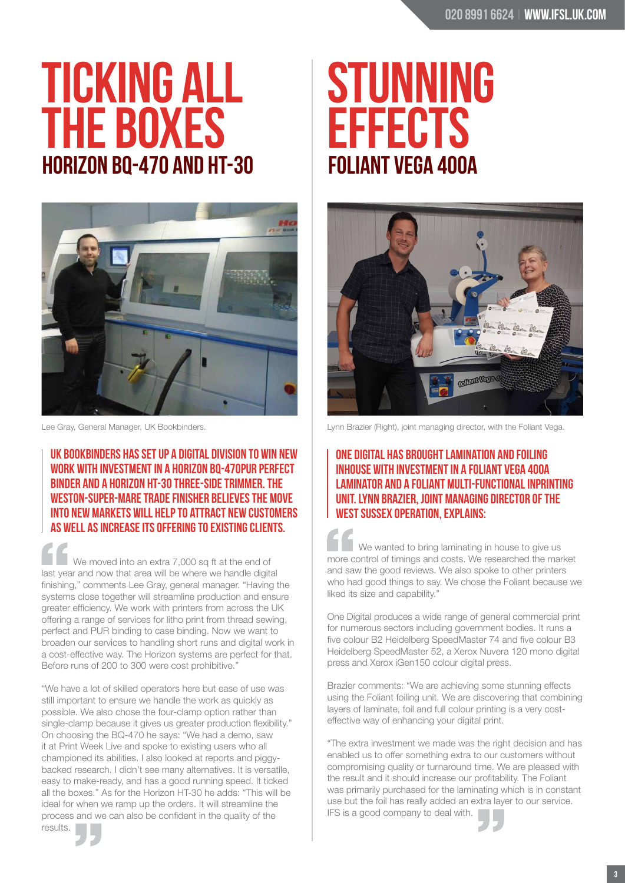# **Horizon BQ-470 and HT-30 TICKING ALL THE BOXES**



UK Bookbinders has set up a digital division to win new work with investment in a Horizon BQ-470PUR perfect binder and a Horizon HT-30 three-side trimmer. The Weston-super-Mare trade finisher believes the move into new markets will help to attract new customers as well as increase its offering to existing clients.

We moved into an extra 7,000 sq ft at the end of last year and now that area will be where we handle digital finishing," comments Lee Gray, general manager. "Having the systems close together will streamline production and ensure greater efficiency. We work with printers from across the UK offering a range of services for litho print from thread sewing, perfect and PUR binding to case binding. Now we want to broaden our services to handling short runs and digital work in a cost-effective way. The Horizon systems are perfect for that. Before runs of 200 to 300 were cost prohibitive."

"We have a lot of skilled operators here but ease of use was still important to ensure we handle the work as quickly as possible. We also chose the four-clamp option rather than single-clamp because it gives us greater production flexibility." On choosing the BQ-470 he says: "We had a demo, saw it at Print Week Live and spoke to existing users who all championed its abilities. I also looked at reports and piggybacked research. I didn't see many alternatives. It is versatile, easy to make-ready, and has a good running speed. It ticked all the boxes." As for the Horizon HT-30 he adds: "This will be ideal for when we ramp up the orders. It will streamline the process and we can also be confident in the quality of the results.

# **Foliant Vega 400A STUNNING EFFECTS**



Lee Gray, General Manager, UK Bookbinders. Lynn Brazier (Right), ioint managing director, with the Foliant Vega.

### One Digital has brought lamination and foiling inhouse with investment in a Foliant Vega 400A Laminator and a Foliant Multi-functional Inprinting Unit. Lynn Brazier, joint managing director of the West Sussex operation, explains:

We wanted to bring laminating in house to give us more control of timings and costs. We researched the market and saw the good reviews. We also spoke to other printers who had good things to say. We chose the Foliant because we liked its size and capability."

One Digital produces a wide range of general commercial print for numerous sectors including government bodies. It runs a five colour B2 Heidelberg SpeedMaster 74 and five colour B3 Heidelberg SpeedMaster 52, a Xerox Nuvera 120 mono digital press and Xerox iGen150 colour digital press.

Brazier comments: "We are achieving some stunning effects using the Foliant foiling unit. We are discovering that combining layers of laminate, foil and full colour printing is a very costeffective way of enhancing your digital print.

"The extra investment we made was the right decision and has enabled us to offer something extra to our customers without compromising quality or turnaround time. We are pleased with the result and it should increase our profitability. The Foliant was primarily purchased for the laminating which is in constant use but the foil has really added an extra layer to our service. IFS is a good company to deal with.